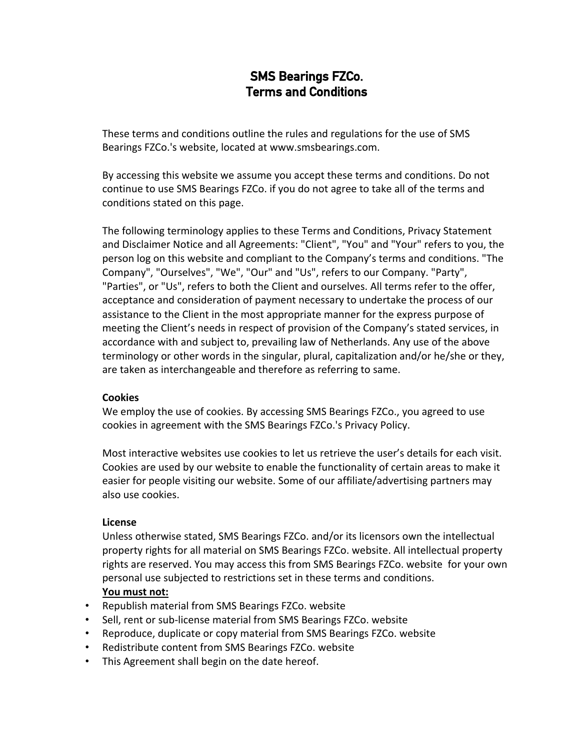# **SMS Bearings FZCo. Terms and Conditions**

These terms and conditions outline the rules and regulations for the use of SMS Bearings FZCo.'s website, located at www.smsbearings.com.

By accessing this website we assume you accept these terms and conditions. Do not continue to use SMS Bearings FZCo. if you do not agree to take all of the terms and conditions stated on this page.

The following terminology applies to these Terms and Conditions, Privacy Statement and Disclaimer Notice and all Agreements: "Client", "You" and "Your" refers to you, the person log on this website and compliant to the Company's terms and conditions. "The Company", "Ourselves", "We", "Our" and "Us", refers to our Company. "Party", "Parties", or "Us", refers to both the Client and ourselves. All terms refer to the offer, acceptance and consideration of payment necessary to undertake the process of our assistance to the Client in the most appropriate manner for the express purpose of meeting the Client's needs in respect of provision of the Company's stated services, in accordance with and subject to, prevailing law of Netherlands. Any use of the above terminology or other words in the singular, plural, capitalization and/or he/she or they, are taken as interchangeable and therefore as referring to same.

#### **Cookies**

We employ the use of cookies. By accessing SMS Bearings FZCo., you agreed to use cookies in agreement with the SMS Bearings FZCo.'s Privacy Policy.

Most interactive websites use cookies to let us retrieve the user's details for each visit. Cookies are used by our website to enable the functionality of certain areas to make it easier for people visiting our website. Some of our affiliate/advertising partners may also use cookies.

## **License**

Unless otherwise stated, SMS Bearings FZCo. and/or its licensors own the intellectual property rights for all material on SMS Bearings FZCo. website. All intellectual property rights are reserved. You may access this from SMS Bearings FZCo. website for your own personal use subjected to restrictions set in these terms and conditions. **You must not:**

- Republish material from SMS Bearings FZCo. website
- Sell, rent or sub-license material from SMS Bearings FZCo. website
- Reproduce, duplicate or copy material from SMS Bearings FZCo. website
- Redistribute content from SMS Bearings FZCo. website
- This Agreement shall begin on the date hereof.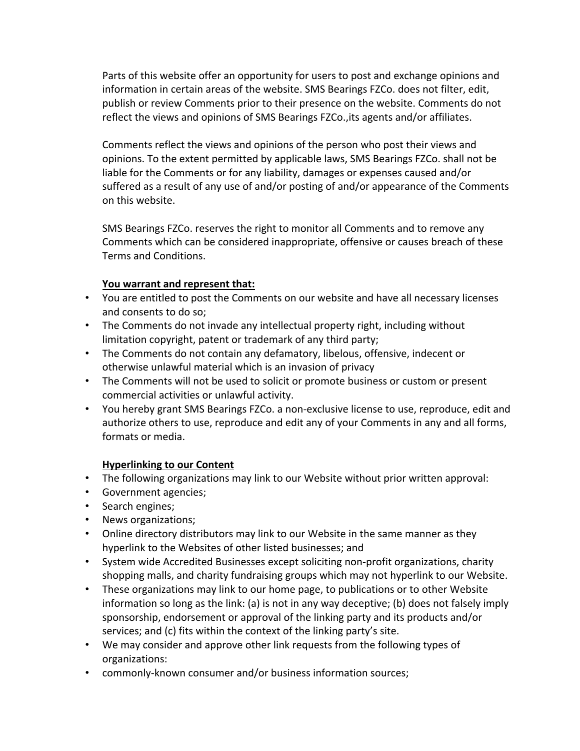Parts of this website offer an opportunity for users to post and exchange opinions and information in certain areas of the website. SMS Bearings FZCo. does not filter, edit, publish or review Comments prior to their presence on the website. Comments do not reflect the views and opinions of SMS Bearings FZCo.,its agents and/or affiliates.

Comments reflect the views and opinions of the person who post their views and opinions. To the extent permitted by applicable laws, SMS Bearings FZCo. shall not be liable for the Comments or for any liability, damages or expenses caused and/or suffered as a result of any use of and/or posting of and/or appearance of the Comments on this website.

SMS Bearings FZCo. reserves the right to monitor all Comments and to remove any Comments which can be considered inappropriate, offensive or causes breach of these Terms and Conditions.

#### **You warrant and represent that:**

- You are entitled to post the Comments on our website and have all necessary licenses and consents to do so;
- The Comments do not invade any intellectual property right, including without limitation copyright, patent or trademark of any third party;
- The Comments do not contain any defamatory, libelous, offensive, indecent or otherwise unlawful material which is an invasion of privacy
- The Comments will not be used to solicit or promote business or custom or present commercial activities or unlawful activity.
- You hereby grant SMS Bearings FZCo. a non-exclusive license to use, reproduce, edit and authorize others to use, reproduce and edit any of your Comments in any and all forms, formats or media.

## **Hyperlinking to our Content**

- The following organizations may link to our Website without prior written approval:
- Government agencies;
- Search engines;
- News organizations;
- Online directory distributors may link to our Website in the same manner as they hyperlink to the Websites of other listed businesses; and
- System wide Accredited Businesses except soliciting non-profit organizations, charity shopping malls, and charity fundraising groups which may not hyperlink to our Website.
- These organizations may link to our home page, to publications or to other Website information so long as the link: (a) is not in any way deceptive; (b) does not falsely imply sponsorship, endorsement or approval of the linking party and its products and/or services; and (c) fits within the context of the linking party's site.
- We may consider and approve other link requests from the following types of organizations:
- commonly-known consumer and/or business information sources;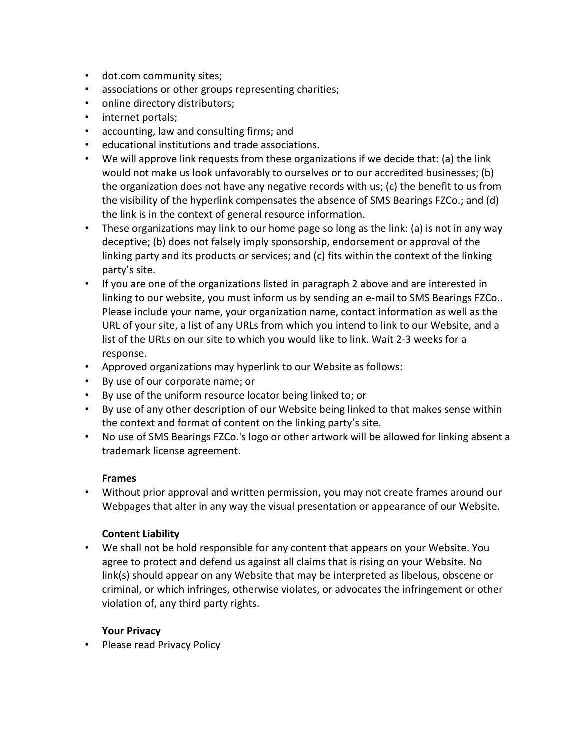- dot.com community sites;
- associations or other groups representing charities;
- online directory distributors;
- internet portals;
- accounting, law and consulting firms; and
- educational institutions and trade associations.
- We will approve link requests from these organizations if we decide that: (a) the link would not make us look unfavorably to ourselves or to our accredited businesses; (b) the organization does not have any negative records with us; (c) the benefit to us from the visibility of the hyperlink compensates the absence of SMS Bearings FZCo.; and (d) the link is in the context of general resource information.
- These organizations may link to our home page so long as the link: (a) is not in any way deceptive; (b) does not falsely imply sponsorship, endorsement or approval of the linking party and its products or services; and (c) fits within the context of the linking party's site.
- If you are one of the organizations listed in paragraph 2 above and are interested in linking to our website, you must inform us by sending an e-mail to SMS Bearings FZCo.. Please include your name, your organization name, contact information as well as the URL of your site, a list of any URLs from which you intend to link to our Website, and a list of the URLs on our site to which you would like to link. Wait 2-3 weeks for a response.
- Approved organizations may hyperlink to our Website as follows:
- By use of our corporate name; or
- By use of the uniform resource locator being linked to; or
- By use of any other description of our Website being linked to that makes sense within the context and format of content on the linking party's site.
- No use of SMS Bearings FZCo.'s logo or other artwork will be allowed for linking absent a trademark license agreement.

## **Frames**

• Without prior approval and written permission, you may not create frames around our Webpages that alter in any way the visual presentation or appearance of our Website.

## **Content Liability**

• We shall not be hold responsible for any content that appears on your Website. You agree to protect and defend us against all claims that is rising on your Website. No link(s) should appear on any Website that may be interpreted as libelous, obscene or criminal, or which infringes, otherwise violates, or advocates the infringement or other violation of, any third party rights.

## **Your Privacy**

• Please read Privacy Policy